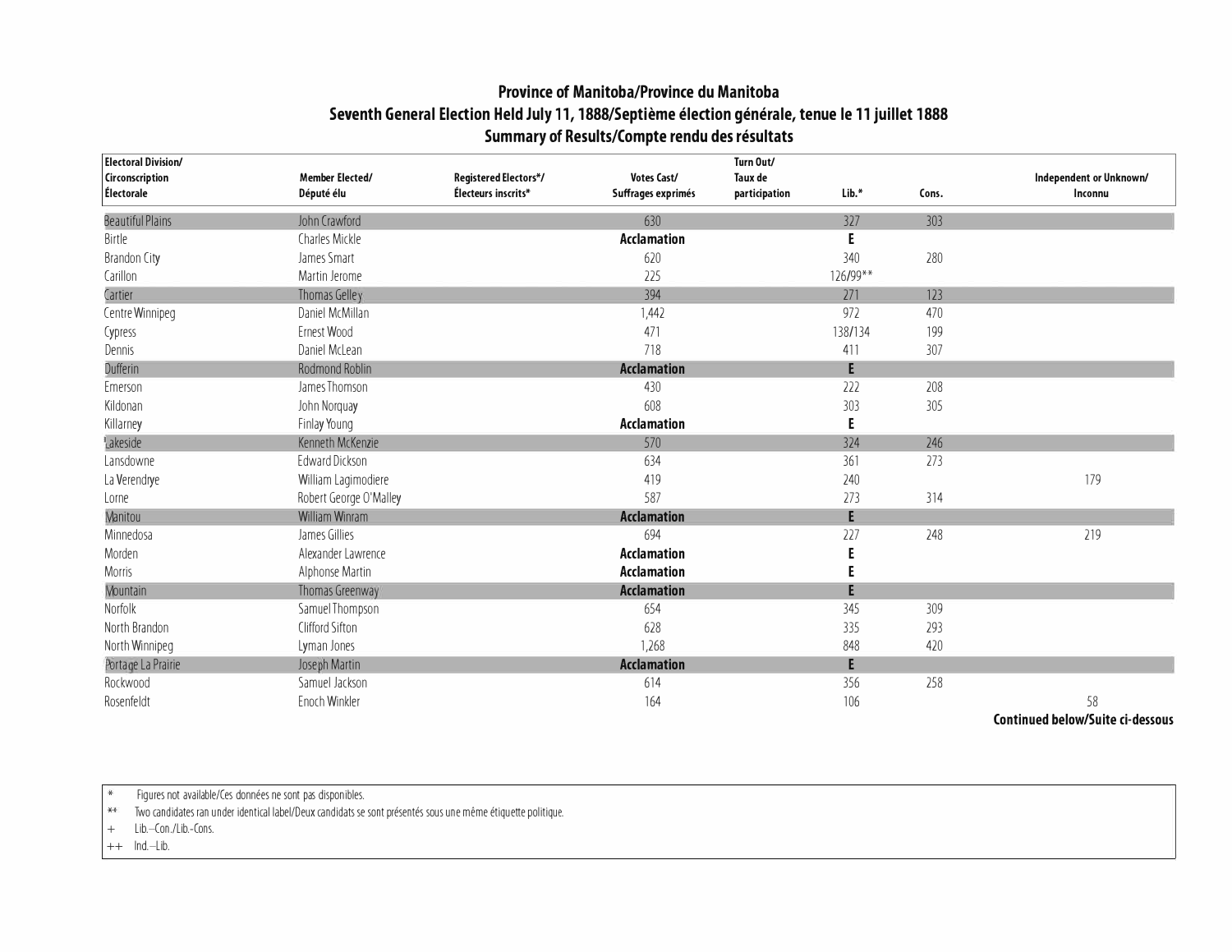## **Province of Manitoba/Province du Manitoba Seventh General Election Held July 11, 1888/Septieme election generale, tenue le 11 juillet 1888 Summary of Results/Compte rendu des resultats**

| <b>Electoral Division/</b>    |                                      |                                              |                                   | Turn Out/                |          |       |                                    |
|-------------------------------|--------------------------------------|----------------------------------------------|-----------------------------------|--------------------------|----------|-------|------------------------------------|
| Circonscription<br>Électorale | <b>Member Elected/</b><br>Député élu | Registered Electors*/<br>Électeurs inscrits* | Votes Cast/<br>Suffrages exprimés | Taux de<br>participation | Lib.*    | Cons. | Independent or Unknown/<br>Inconnu |
| <b>Beautiful Plains</b>       | John Crawford                        |                                              | 630                               |                          | 327      | 303   |                                    |
| Birtle                        | Charles Mickle                       |                                              | <b>Acclamation</b>                |                          | E        |       |                                    |
| <b>Brandon City</b>           | James Smart                          |                                              | 620                               |                          | 340      | 280   |                                    |
| Carillon                      | Martin Jerome                        |                                              | 225                               |                          | 126/99** |       |                                    |
| Cartier                       | Thomas Gelley                        |                                              | 394                               |                          | 271      | 123   |                                    |
| Centre Winnipeg               | Daniel McMillan                      |                                              | 1,442                             |                          | 972      | 470   |                                    |
| Cypress                       | Ernest Wood                          |                                              | 471                               |                          | 138/134  | 199   |                                    |
| Dennis                        | Daniel McLean                        |                                              | 718                               |                          | 411      | 307   |                                    |
| Dufferin                      | Rodmond Roblin                       |                                              | <b>Acclamation</b>                |                          | E        |       |                                    |
| Emerson                       | James Thomson                        |                                              | 430                               |                          | 222      | 208   |                                    |
| Kildonan                      | John Norquay                         |                                              | 608                               |                          | 303      | 305   |                                    |
| Killarney                     | Finlay Young                         |                                              | <b>Acclamation</b>                |                          | E        |       |                                    |
| Lakeside                      | Kenneth McKenzie                     |                                              | 570                               |                          | 324      | 246   |                                    |
| Lansdowne                     | <b>Edward Dickson</b>                |                                              | 634                               |                          | 361      | 273   |                                    |
| La Verendrye                  | William Lagimodiere                  |                                              | 419                               |                          | 240      |       | 179                                |
| Lorne                         | Robert George O'Malley               |                                              | 587                               |                          | 273      | 314   |                                    |
| Manitou                       | William Winram                       |                                              | <b>Acclamation</b>                |                          | E        |       |                                    |
| Minnedosa                     | James Gillies                        |                                              | 694                               |                          | 227      | 248   | 219                                |
| Morden                        | Alexander Lawrence                   |                                              | <b>Acclamation</b>                |                          |          |       |                                    |
| Morris                        | Alphonse Martin                      |                                              | <b>Acclamation</b>                |                          | E        |       |                                    |
| <b>Mountain</b>               | Thomas Greenway                      |                                              | <b>Acclamation</b>                |                          | E        |       |                                    |
| Norfolk                       | Samuel Thompson                      |                                              | 654                               |                          | 345      | 309   |                                    |
| North Brandon                 | Clifford Sifton                      |                                              | 628                               |                          | 335      | 293   |                                    |
| North Winnipeg                | Lyman Jones                          |                                              | 1,268                             |                          | 848      | 420   |                                    |
| Portage La Prairie            | Joseph Martin                        |                                              | <b>Acclamation</b>                |                          | E        |       |                                    |
| Rockwood                      | Samuel Jackson                       |                                              | 614                               |                          | 356      | 258   |                                    |
| Rosenfeldt                    | Enoch Winkler                        |                                              | 164                               |                          | 106      |       | 58                                 |

**Continued below/Suite ci-dessous** 

Figures not available/Ces données ne sont pas disponibles.

 $**$ Two candidates ran under identical label/Deux candidats se sont presentes sous une meme etiquette politique.

+ Lib.-Con./Lib.-Cons.

 $++$  lnd.-Lib.